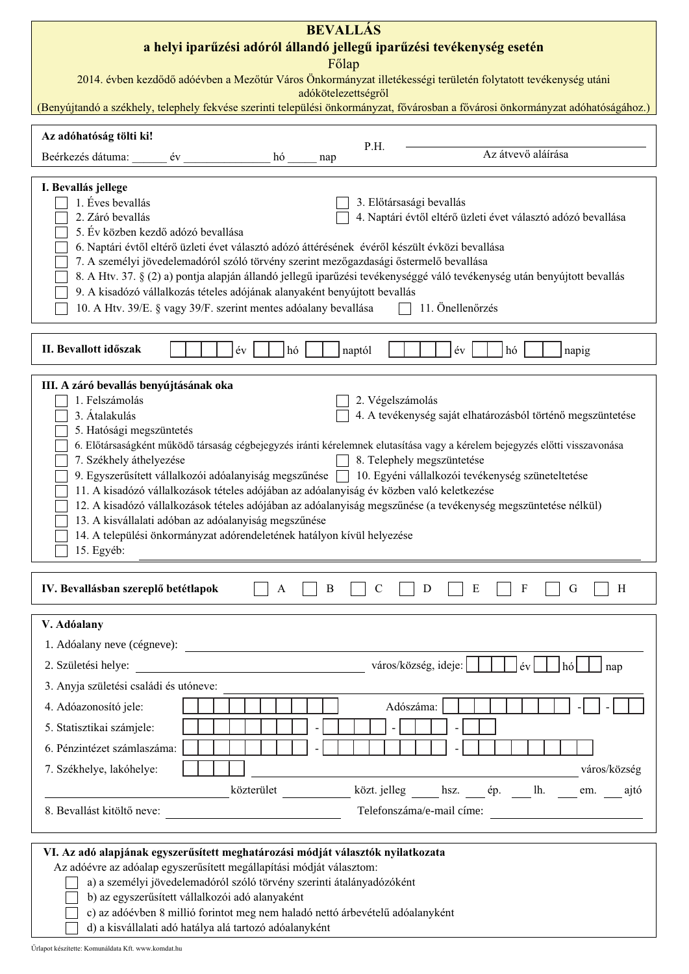| <b>BEVALLÁS</b><br>a helyi iparűzési adóról állandó jellegű iparűzési tevékenység esetén                                                                                                                                                                                                                                                                                                                                                                                                                                                                                                                                                                                                                                                                                                                                                                  |                                                         |                  |                                                                                                                                                                                              |  |  |  |  |  |  |
|-----------------------------------------------------------------------------------------------------------------------------------------------------------------------------------------------------------------------------------------------------------------------------------------------------------------------------------------------------------------------------------------------------------------------------------------------------------------------------------------------------------------------------------------------------------------------------------------------------------------------------------------------------------------------------------------------------------------------------------------------------------------------------------------------------------------------------------------------------------|---------------------------------------------------------|------------------|----------------------------------------------------------------------------------------------------------------------------------------------------------------------------------------------|--|--|--|--|--|--|
| Főlap                                                                                                                                                                                                                                                                                                                                                                                                                                                                                                                                                                                                                                                                                                                                                                                                                                                     |                                                         |                  |                                                                                                                                                                                              |  |  |  |  |  |  |
| 2014. évben kezdődő adóévben a Mezőtúr Város Önkormányzat illetékességi területén folytatott tevékenység utáni<br>adókötelezettségről                                                                                                                                                                                                                                                                                                                                                                                                                                                                                                                                                                                                                                                                                                                     |                                                         |                  |                                                                                                                                                                                              |  |  |  |  |  |  |
| (Benyújtandó a székhely, telephely fekvése szerinti települési önkormányzat, fővárosban a fővárosi önkormányzat adóhatóságához.)                                                                                                                                                                                                                                                                                                                                                                                                                                                                                                                                                                                                                                                                                                                          |                                                         |                  |                                                                                                                                                                                              |  |  |  |  |  |  |
| Az adóhatóság tölti ki!                                                                                                                                                                                                                                                                                                                                                                                                                                                                                                                                                                                                                                                                                                                                                                                                                                   |                                                         | P.H.             |                                                                                                                                                                                              |  |  |  |  |  |  |
| Beérkezés dátuma:<br>$ev_{-}$                                                                                                                                                                                                                                                                                                                                                                                                                                                                                                                                                                                                                                                                                                                                                                                                                             | hó                                                      | nap              | Az átvevő aláírása                                                                                                                                                                           |  |  |  |  |  |  |
| I. Bevallás jellege<br>1. Éves bevallás<br>3. Előtársasági bevallás<br>2. Záró bevallás<br>4. Naptári évtől eltérő üzleti évet választó adózó bevallása<br>5. Év közben kezdő adózó bevallása<br>6. Naptári évtől eltérő üzleti évet választó adózó áttérésének évéről készült évközi bevallása<br>7. A személyi jövedelemadóról szóló törvény szerint mezőgazdasági őstermelő bevallása<br>8. A Htv. 37. § (2) a) pontja alapján állandó jellegű iparűzési tevékenységgé váló tevékenység után benyújtott bevallás<br>9. A kisadózó vállalkozás tételes adójának alanyaként benyújtott bevallás<br>10. A Htv. 39/E. § vagy 39/F. szerint mentes adóalany bevallása<br>11. Önellenőrzés                                                                                                                                                                   |                                                         |                  |                                                                                                                                                                                              |  |  |  |  |  |  |
| II. Bevallott időszak                                                                                                                                                                                                                                                                                                                                                                                                                                                                                                                                                                                                                                                                                                                                                                                                                                     | év<br>hó                                                | naptól           | év<br>hó<br>napig                                                                                                                                                                            |  |  |  |  |  |  |
| III. A záró bevallás benyújtásának oka<br>1. Felszámolás<br>2. Végelszámolás<br>3. Átalakulás<br>4. A tevékenység saját elhatározásból történő megszüntetése<br>5. Hatósági megszüntetés<br>6. Előtársaságként működő társaság cégbejegyzés iránti kérelemnek elutasítása vagy a kérelem bejegyzés előtti visszavonása<br>8. Telephely megszüntetése<br>7. Székhely áthelyezése<br>9. Egyszerűsített vállalkozói adóalanyiság megszűnése   10. Egyéni vállalkozói tevékenység szüneteltetése<br>11. A kisadózó vállalkozások tételes adójában az adóalanyiság év közben való keletkezése<br>12. A kisadózó vállalkozások tételes adójában az adóalanyiság megszűnése (a tevékenység megszüntetése nélkül)<br>13. A kisvállalati adóban az adóalanyiság megszűnése<br>14. A települési önkormányzat adórendeletének hatályon kívül helyezése<br>15. Egyéb: |                                                         |                  |                                                                                                                                                                                              |  |  |  |  |  |  |
| IV. Bevallásban szereplő betétlapok                                                                                                                                                                                                                                                                                                                                                                                                                                                                                                                                                                                                                                                                                                                                                                                                                       | A                                                       | B<br>$\mathbf C$ | D<br>E<br>$\mathbf{F}$<br>H<br>G                                                                                                                                                             |  |  |  |  |  |  |
| V. Adóalany                                                                                                                                                                                                                                                                                                                                                                                                                                                                                                                                                                                                                                                                                                                                                                                                                                               |                                                         |                  |                                                                                                                                                                                              |  |  |  |  |  |  |
|                                                                                                                                                                                                                                                                                                                                                                                                                                                                                                                                                                                                                                                                                                                                                                                                                                                           |                                                         |                  |                                                                                                                                                                                              |  |  |  |  |  |  |
| 2. Születési helye:                                                                                                                                                                                                                                                                                                                                                                                                                                                                                                                                                                                                                                                                                                                                                                                                                                       | <u> 1989 - Johann Barbara, martxa alemaniar a</u>       |                  | város/község, ideje:<br>$ \text{\'ev} $<br>$ h\acute{o} $<br>nap                                                                                                                             |  |  |  |  |  |  |
| 3. Anyja születési családi és utóneve:                                                                                                                                                                                                                                                                                                                                                                                                                                                                                                                                                                                                                                                                                                                                                                                                                    |                                                         |                  |                                                                                                                                                                                              |  |  |  |  |  |  |
| 4. Adóazonosító jele:                                                                                                                                                                                                                                                                                                                                                                                                                                                                                                                                                                                                                                                                                                                                                                                                                                     |                                                         |                  | Adószáma:                                                                                                                                                                                    |  |  |  |  |  |  |
| 5. Statisztikai számjele:                                                                                                                                                                                                                                                                                                                                                                                                                                                                                                                                                                                                                                                                                                                                                                                                                                 |                                                         |                  |                                                                                                                                                                                              |  |  |  |  |  |  |
| 6. Pénzintézet számlaszáma:                                                                                                                                                                                                                                                                                                                                                                                                                                                                                                                                                                                                                                                                                                                                                                                                                               |                                                         |                  |                                                                                                                                                                                              |  |  |  |  |  |  |
| 7. Székhelye, lakóhelye:                                                                                                                                                                                                                                                                                                                                                                                                                                                                                                                                                                                                                                                                                                                                                                                                                                  |                                                         |                  | $\footnotesize{\begin{array}{c} \begin{array}{c} \begin{array}{c} \text{ } \\ \text{ } \\ \text{ } \\ \text{ } \\ \text{ } \\ \text{ } \\ \text{ } \\ \end{array} \end{array}}$ város/község |  |  |  |  |  |  |
| közterület ____________ közt. jelleg ______ hsz. _____ ép. _____ lh. _____ em. _____ ajtó                                                                                                                                                                                                                                                                                                                                                                                                                                                                                                                                                                                                                                                                                                                                                                 |                                                         |                  |                                                                                                                                                                                              |  |  |  |  |  |  |
|                                                                                                                                                                                                                                                                                                                                                                                                                                                                                                                                                                                                                                                                                                                                                                                                                                                           | 8. Bevallást kitöltő neve:<br>Telefonszáma/e-mail címe: |                  |                                                                                                                                                                                              |  |  |  |  |  |  |
| VI. Az adó alapjának egyszerűsített meghatározási módját választók nyilatkozata<br>Az adóévre az adóalap egyszerűsített megállapítási módját választom:<br>a) a személyi jövedelemadóról szóló törvény szerinti átalányadózóként<br>b) az egyszerűsített vállalkozói adó alanyaként<br>c) az adóévben 8 millió forintot meg nem haladó nettó árbevételű adóalanyként<br>d) a kisvállalati adó hatálya alá tartozó adóalanyként                                                                                                                                                                                                                                                                                                                                                                                                                            |                                                         |                  |                                                                                                                                                                                              |  |  |  |  |  |  |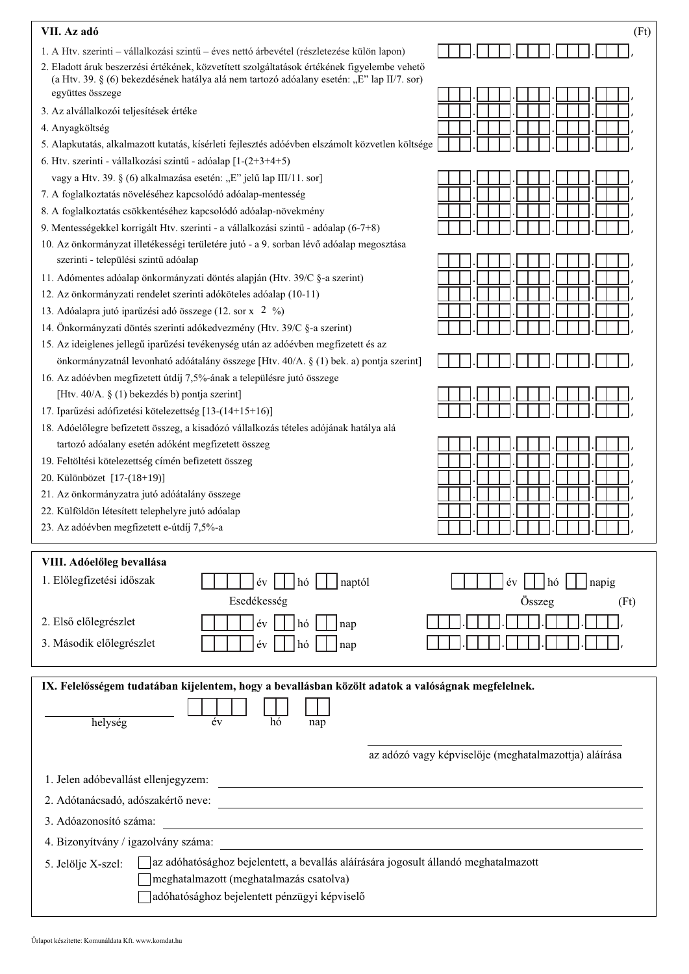| VII. Az adó                                                                                                                                                                                                    | (Ft)                                                  |
|----------------------------------------------------------------------------------------------------------------------------------------------------------------------------------------------------------------|-------------------------------------------------------|
| 1. A Htv. szerinti – vállalkozási szintű – éves nettó árbevétel (részletezése külön lapon)                                                                                                                     |                                                       |
| 2. Eladott áruk beszerzési értékének, közvetített szolgáltatások értékének figyelembe vehető<br>(a Htv. 39. § (6) bekezdésének hatálya alá nem tartozó adóalany esetén: "E" lap II/7. sor)<br>együttes összege |                                                       |
|                                                                                                                                                                                                                |                                                       |
| 3. Az alvállalkozói teljesítések értéke                                                                                                                                                                        |                                                       |
| 4. Anyagköltség                                                                                                                                                                                                |                                                       |
| 5. Alapkutatás, alkalmazott kutatás, kísérleti fejlesztés adóévben elszámolt közvetlen költsége                                                                                                                |                                                       |
| 6. Htv. szerinti - vállalkozási szintű - adóalap [1-(2+3+4+5)                                                                                                                                                  |                                                       |
| vagy a Htv. 39. § (6) alkalmazása esetén: "E" jelű lap III/11. sor]                                                                                                                                            |                                                       |
| 7. A foglalkoztatás növeléséhez kapcsolódó adóalap-mentesség                                                                                                                                                   |                                                       |
| 8. A foglalkoztatás csökkentéséhez kapcsolódó adóalap-növekmény                                                                                                                                                |                                                       |
| 9. Mentességekkel korrigált Htv. szerinti - a vállalkozási szintű - adóalap (6-7+8)                                                                                                                            |                                                       |
| 10. Az önkormányzat illetékességi területére jutó - a 9. sorban lévő adóalap megosztása<br>szerinti - települési szintű adóalap                                                                                |                                                       |
| 11. Adómentes adóalap önkormányzati döntés alapján (Htv. 39/C §-a szerint)                                                                                                                                     |                                                       |
| 12. Az önkormányzati rendelet szerinti adóköteles adóalap (10-11)                                                                                                                                              |                                                       |
| 13. Adóalapra jutó iparűzési adó összege (12. sor x 2 %)                                                                                                                                                       |                                                       |
| 14. Önkormányzati döntés szerinti adókedvezmény (Htv. 39/C §-a szerint)                                                                                                                                        |                                                       |
| 15. Az ideiglenes jellegű iparűzési tevékenység után az adóévben megfizetett és az                                                                                                                             |                                                       |
| önkormányzatnál levonható adóátalány összege [Htv. 40/A. § (1) bek. a) pontja szerint]                                                                                                                         |                                                       |
| 16. Az adóévben megfizetett útdíj 7,5%-ának a településre jutó összege                                                                                                                                         |                                                       |
| [Htv. 40/A. § (1) bekezdés b) pontja szerint]                                                                                                                                                                  |                                                       |
| 17. Iparűzési adófizetési kötelezettség [13-(14+15+16)]                                                                                                                                                        |                                                       |
| 18. Adóelőlegre befizetett összeg, a kisadózó vállalkozás tételes adójának hatálya alá                                                                                                                         |                                                       |
| tartozó adóalany esetén adóként megfizetett összeg                                                                                                                                                             |                                                       |
| 19. Feltöltési kötelezettség címén befizetett összeg                                                                                                                                                           |                                                       |
| 20. Különbözet [17-(18+19)]                                                                                                                                                                                    |                                                       |
| 21. Az önkormányzatra jutó adóátalány összege<br>22. Külföldön létesített telephelyre jutó adóalap                                                                                                             |                                                       |
| 23. Az adóévben megfizetett e-útdíj 7,5%-a                                                                                                                                                                     |                                                       |
|                                                                                                                                                                                                                |                                                       |
| VIII. Adóelőleg bevallása                                                                                                                                                                                      |                                                       |
| 1. Előlegfizetési időszak<br>év<br>$ h\dot{\theta} $<br>naptól                                                                                                                                                 | $ $ napig<br>év<br>l hó                               |
| Esedékesség                                                                                                                                                                                                    |                                                       |
|                                                                                                                                                                                                                | Összeg<br>(Ft)                                        |
| 2. Első előlegrészlet<br>év<br>l hó<br>nap                                                                                                                                                                     |                                                       |
| 3. Második előlegrészlet<br>év<br>$ h\dot{\theta} $<br>nap                                                                                                                                                     |                                                       |
|                                                                                                                                                                                                                |                                                       |
| IX. Felelősségem tudatában kijelentem, hogy a bevallásban közölt adatok a valóságnak megfelelnek.                                                                                                              |                                                       |
|                                                                                                                                                                                                                |                                                       |
| év<br>helység<br>hó<br>nap                                                                                                                                                                                     |                                                       |
|                                                                                                                                                                                                                |                                                       |
|                                                                                                                                                                                                                | az adózó vagy képviselője (meghatalmazottja) aláírása |
| 1. Jelen adóbevallást ellenjegyzem:<br><u> 1980 - Andrea Andrew Maria (h. 1980).</u>                                                                                                                           |                                                       |
| 2. Adótanácsadó, adószakértő neve:                                                                                                                                                                             |                                                       |
| 3. Adóazonosító száma:                                                                                                                                                                                         |                                                       |
| and the control of the control of the control of the control of the control of the control of the control of the                                                                                               |                                                       |
| 4. Bizonyítvány / igazolvány száma:                                                                                                                                                                            |                                                       |
| az adóhatósághoz bejelentett, a bevallás aláírására jogosult állandó meghatalmazott<br>5. Jelölje X-szel:                                                                                                      |                                                       |
| meghatalmazott (meghatalmazás csatolva)                                                                                                                                                                        |                                                       |
| adóhatósághoz bejelentett pénzügyi képviselő                                                                                                                                                                   |                                                       |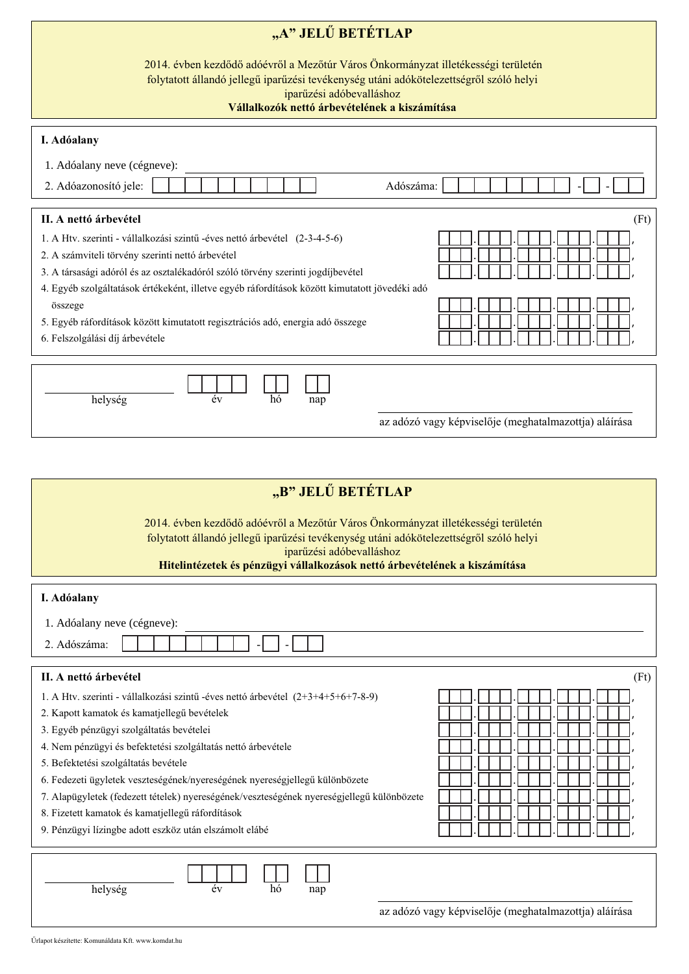| "A" JELŰ BETÉTLAP                                                                                                                                                                                                                                        |                                                       |  |  |  |  |  |  |
|----------------------------------------------------------------------------------------------------------------------------------------------------------------------------------------------------------------------------------------------------------|-------------------------------------------------------|--|--|--|--|--|--|
| 2014. évben kezdődő adóévről a Mezőtúr Város Önkormányzat illetékességi területén<br>folytatott állandó jellegű iparűzési tevékenység utáni adókötelezettségről szóló helyi<br>iparűzési adóbevalláshoz<br>Vállalkozók nettó árbevételének a kiszámítása |                                                       |  |  |  |  |  |  |
| I. Adóalany                                                                                                                                                                                                                                              |                                                       |  |  |  |  |  |  |
|                                                                                                                                                                                                                                                          |                                                       |  |  |  |  |  |  |
| 1. Adóalany neve (cégneve):                                                                                                                                                                                                                              |                                                       |  |  |  |  |  |  |
| 2. Adóazonosító jele:<br>Adószáma:                                                                                                                                                                                                                       |                                                       |  |  |  |  |  |  |
| II. A nettó árbevétel                                                                                                                                                                                                                                    | (Ft)                                                  |  |  |  |  |  |  |
| 1. A Htv. szerinti - vállalkozási szintű -éves nettó árbevétel (2-3-4-5-6)                                                                                                                                                                               |                                                       |  |  |  |  |  |  |
| 2. A számviteli törvény szerinti nettó árbevétel                                                                                                                                                                                                         |                                                       |  |  |  |  |  |  |
| 3. A társasági adóról és az osztalékadóról szóló törvény szerinti jogdíjbevétel<br>4. Egyéb szolgáltatások értékeként, illetve egyéb ráfordítások között kimutatott jövedéki adó                                                                         |                                                       |  |  |  |  |  |  |
| összege                                                                                                                                                                                                                                                  |                                                       |  |  |  |  |  |  |
| 5. Egyéb ráfordítások között kimutatott regisztrációs adó, energia adó összege                                                                                                                                                                           |                                                       |  |  |  |  |  |  |
| 6. Felszolgálási díj árbevétele                                                                                                                                                                                                                          |                                                       |  |  |  |  |  |  |
|                                                                                                                                                                                                                                                          |                                                       |  |  |  |  |  |  |
| év<br>hó                                                                                                                                                                                                                                                 |                                                       |  |  |  |  |  |  |
| helység<br>nap                                                                                                                                                                                                                                           |                                                       |  |  |  |  |  |  |
|                                                                                                                                                                                                                                                          | az adózó vagy képviselője (meghatalmazottja) aláírása |  |  |  |  |  |  |
|                                                                                                                                                                                                                                                          |                                                       |  |  |  |  |  |  |
|                                                                                                                                                                                                                                                          |                                                       |  |  |  |  |  |  |
| "B" JELŰ BETÉTLAP                                                                                                                                                                                                                                        |                                                       |  |  |  |  |  |  |
| 2014. évben kezdődő adóévről a Mezőtúr Város Önkormányzat illetékességi területén                                                                                                                                                                        |                                                       |  |  |  |  |  |  |
| folytatott állandó jellegű iparűzési tevékenység utáni adókötelezettségről szóló helyi                                                                                                                                                                   |                                                       |  |  |  |  |  |  |
| iparűzési adóbevalláshoz<br>Hitelintézetek és pénzügyi vállalkozások nettó árbevételének a kiszámítása                                                                                                                                                   |                                                       |  |  |  |  |  |  |
|                                                                                                                                                                                                                                                          |                                                       |  |  |  |  |  |  |
| I. Adóalany                                                                                                                                                                                                                                              |                                                       |  |  |  |  |  |  |
| 1. Adóalany neve (cégneve):                                                                                                                                                                                                                              |                                                       |  |  |  |  |  |  |
| 2. Adószáma:                                                                                                                                                                                                                                             |                                                       |  |  |  |  |  |  |
| II. A nettó árbevétel                                                                                                                                                                                                                                    | (Ft)                                                  |  |  |  |  |  |  |
| 1. A Htv. szerinti - vállalkozási szintű -éves nettó árbevétel (2+3+4+5+6+7-8-9)                                                                                                                                                                         |                                                       |  |  |  |  |  |  |
| 2. Kapott kamatok és kamatjellegű bevételek                                                                                                                                                                                                              |                                                       |  |  |  |  |  |  |
| 3. Egyéb pénzügyi szolgáltatás bevételei                                                                                                                                                                                                                 |                                                       |  |  |  |  |  |  |
| 4. Nem pénzügyi és befektetési szolgáltatás nettó árbevétele                                                                                                                                                                                             |                                                       |  |  |  |  |  |  |
| 5. Befektetési szolgáltatás bevétele<br>6. Fedezeti ügyletek veszteségének/nyereségének nyereségjellegű különbözete                                                                                                                                      |                                                       |  |  |  |  |  |  |
| 7. Alapügyletek (fedezett tételek) nyereségének/veszteségének nyereségjellegű különbözete                                                                                                                                                                |                                                       |  |  |  |  |  |  |
| 8. Fizetett kamatok és kamatjellegű ráfordítások                                                                                                                                                                                                         |                                                       |  |  |  |  |  |  |
| 9. Pénzügyi lízingbe adott eszköz után elszámolt elábé                                                                                                                                                                                                   |                                                       |  |  |  |  |  |  |
|                                                                                                                                                                                                                                                          |                                                       |  |  |  |  |  |  |
| helység<br>év<br>hó<br>nap                                                                                                                                                                                                                               |                                                       |  |  |  |  |  |  |
|                                                                                                                                                                                                                                                          |                                                       |  |  |  |  |  |  |
|                                                                                                                                                                                                                                                          | az adózó vagy képviselője (meghatalmazottja) aláírása |  |  |  |  |  |  |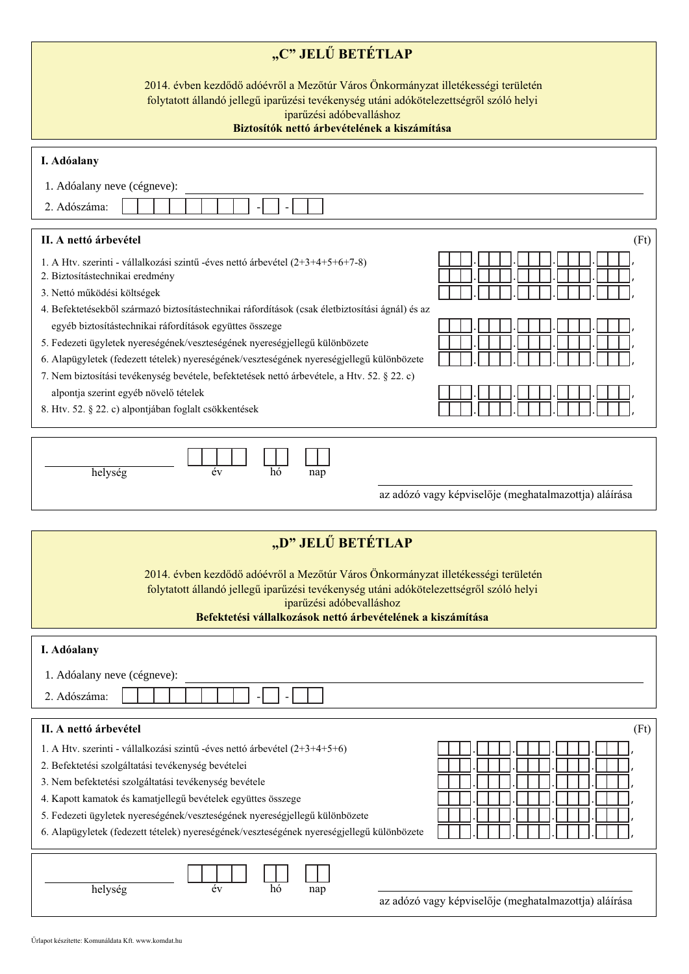| "C" JELŰ BETÉTLAP                                                                                                                                                                                                                                                      |
|------------------------------------------------------------------------------------------------------------------------------------------------------------------------------------------------------------------------------------------------------------------------|
| 2014. évben kezdődő adóévről a Mezőtúr Város Önkormányzat illetékességi területén<br>folytatott állandó jellegű iparűzési tevékenység utáni adókötelezettségről szóló helyi<br>iparűzési adóbevalláshoz<br>Biztosítók nettő árbevételének a kiszámítása                |
| I. Adóalany                                                                                                                                                                                                                                                            |
| 1. Adóalany neve (cégneve):                                                                                                                                                                                                                                            |
| 2. Adószáma:                                                                                                                                                                                                                                                           |
| II. A nettó árbevétel<br>(Ft)                                                                                                                                                                                                                                          |
| 1. A Htv. szerinti - vállalkozási szintű -éves nettó árbevétel (2+3+4+5+6+7-8)<br>2. Biztosítástechnikai eredmény<br>3. Nettó működési költségek<br>4. Befektetésekből származó biztosítástechnikai ráfordítások (csak életbiztosítási ágnál) és az                    |
| egyéb biztosítástechnikai ráfordítások együttes összege                                                                                                                                                                                                                |
| 5. Fedezeti ügyletek nyereségének/veszteségének nyereségjellegű különbözete                                                                                                                                                                                            |
| 6. Alapügyletek (fedezett tételek) nyereségének/veszteségének nyereségjellegű különbözete<br>7. Nem biztosítási tevékenység bevétele, befektetések nettó árbevétele, a Htv. 52. § 22. c)                                                                               |
| alpontja szerint egyéb növelő tételek                                                                                                                                                                                                                                  |
| 8. Htv. 52. § 22. c) alpontjában foglalt csökkentések                                                                                                                                                                                                                  |
| helység<br>év<br>hó<br>nap<br>az adózó vagy képviselője (meghatalmazottja) aláírása                                                                                                                                                                                    |
|                                                                                                                                                                                                                                                                        |
| "D" JELŰ BETÉTLAP                                                                                                                                                                                                                                                      |
| 2014. évben kezdődő adóévről a Mezőtúr Város Önkormányzat illetékességi területén<br>folytatott állandó jellegű iparűzési tevékenység utáni adókötelezettségről szóló helyi<br>iparűzési adóbevalláshoz<br>Befektetési vállalkozások nettó árbevételének a kiszámítása |
| I. Adóalany                                                                                                                                                                                                                                                            |
| 1. Adóalany neve (cégneve):                                                                                                                                                                                                                                            |
| 2. Adószáma:                                                                                                                                                                                                                                                           |
| II. A nettó árbevétel<br>(Ft)                                                                                                                                                                                                                                          |
| 1. A Htv. szerinti - vállalkozási szintű -éves nettó árbevétel (2+3+4+5+6)                                                                                                                                                                                             |
| 2. Befektetési szolgáltatási tevékenység bevételei<br>3. Nem befektetési szolgáltatási tevékenység bevétele                                                                                                                                                            |
| 4. Kapott kamatok és kamatjellegű bevételek együttes összege                                                                                                                                                                                                           |
| 5. Fedezeti ügyletek nyereségének/veszteségének nyereségjellegű különbözete                                                                                                                                                                                            |
| 6. Alapügyletek (fedezett tételek) nyereségének/veszteségének nyereségjellegű különbözete                                                                                                                                                                              |
| helység<br>év<br>hó<br>nap                                                                                                                                                                                                                                             |

az adózó vagy képviselője (meghatalmazottja) aláírása

Űrlapot készítette: Komunáldata Kft. www.komdat.hu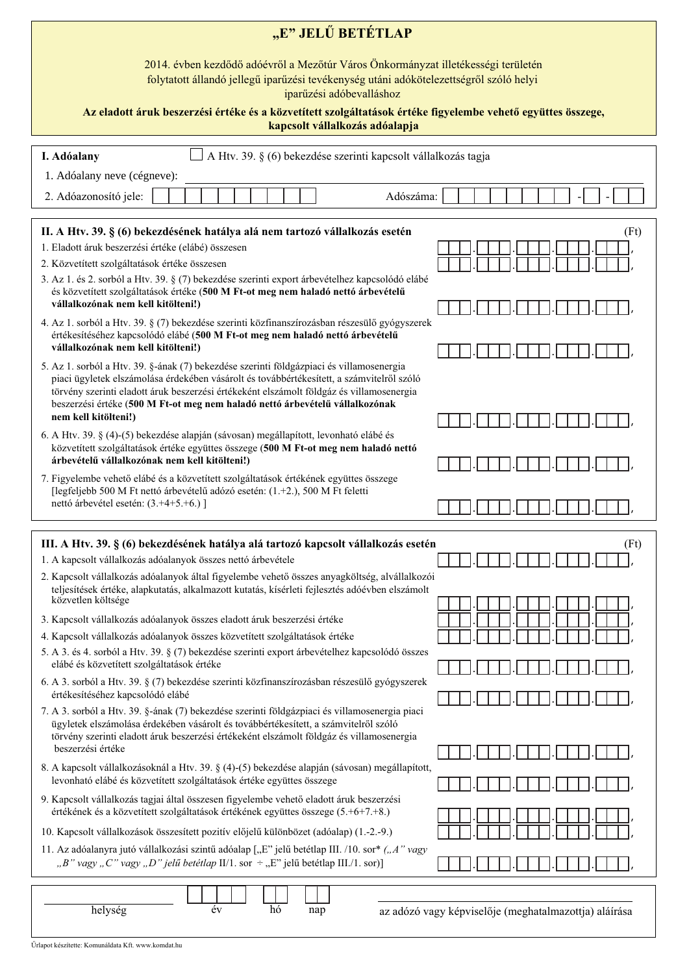| "E" JELŰ BETÉTLAP                                                                                                                                                                                                                                                                |                                                       |  |  |  |  |  |  |  |
|----------------------------------------------------------------------------------------------------------------------------------------------------------------------------------------------------------------------------------------------------------------------------------|-------------------------------------------------------|--|--|--|--|--|--|--|
| 2014. évben kezdődő adóévről a Mezőtúr Város Önkormányzat illetékességi területén<br>folytatott állandó jellegű iparűzési tevékenység utáni adókötelezettségről szóló helyi<br>iparűzési adóbevalláshoz                                                                          |                                                       |  |  |  |  |  |  |  |
| Az eladott áruk beszerzési értéke és a közvetített szolgáltatások értéke figyelembe vehető együttes összege,<br>kapcsolt vállalkozás adóalapja                                                                                                                                   |                                                       |  |  |  |  |  |  |  |
| A Htv. 39. § (6) bekezdése szerinti kapcsolt vállalkozás tagja<br>I. Adóalany                                                                                                                                                                                                    |                                                       |  |  |  |  |  |  |  |
| 1. Adóalany neve (cégneve):                                                                                                                                                                                                                                                      |                                                       |  |  |  |  |  |  |  |
| 2. Adóazonosító jele:<br>Adószáma:                                                                                                                                                                                                                                               |                                                       |  |  |  |  |  |  |  |
| II. A Htv. 39. § (6) bekezdésének hatálya alá nem tartozó vállalkozás esetén                                                                                                                                                                                                     | (Ft)                                                  |  |  |  |  |  |  |  |
| 1. Eladott áruk beszerzési értéke (elábé) összesen                                                                                                                                                                                                                               |                                                       |  |  |  |  |  |  |  |
| 2. Közvetített szolgáltatások értéke összesen                                                                                                                                                                                                                                    |                                                       |  |  |  |  |  |  |  |
| 3. Az 1. és 2. sorból a Htv. 39. § (7) bekezdése szerinti export árbevételhez kapcsolódó elábé<br>és közvetített szolgáltatások értéke (500 M Ft-ot meg nem haladó nettó árbevételű                                                                                              |                                                       |  |  |  |  |  |  |  |
| vállalkozónak nem kell kitölteni!)<br>4. Az 1. sorból a Htv. 39. § (7) bekezdése szerinti közfinanszírozásban részesülő gyógyszerek                                                                                                                                              |                                                       |  |  |  |  |  |  |  |
| értékesítéséhez kapcsolódó elábé (500 M Ft-ot meg nem haladó nettó árbevételű<br>vállalkozónak nem kell kitölteni!)                                                                                                                                                              |                                                       |  |  |  |  |  |  |  |
| 5. Az 1. sorból a Htv. 39. §-ának (7) bekezdése szerinti földgázpiaci és villamosenergia<br>piaci ügyletek elszámolása érdekében vásárolt és továbbértékesített, a számvitelről szóló                                                                                            |                                                       |  |  |  |  |  |  |  |
| törvény szerinti eladott áruk beszerzési értékeként elszámolt földgáz és villamosenergia<br>beszerzési értéke (500 M Ft-ot meg nem haladó nettó árbevételű vállalkozónak                                                                                                         |                                                       |  |  |  |  |  |  |  |
| nem kell kitölteni!)                                                                                                                                                                                                                                                             |                                                       |  |  |  |  |  |  |  |
| 6. A Htv. 39. § (4)-(5) bekezdése alapján (sávosan) megállapított, levonható elábé és<br>közvetített szolgáltatások értéke együttes összege (500 M Ft-ot meg nem haladó nettó<br>árbevételű vállalkozónak nem kell kitölteni!)                                                   |                                                       |  |  |  |  |  |  |  |
| 7. Figyelembe vehető elábé és a közvetített szolgáltatások értékének együttes összege                                                                                                                                                                                            |                                                       |  |  |  |  |  |  |  |
| [legfeljebb 500 M Ft nettó árbevételű adózó esetén: (1.+2.), 500 M Ft feletti<br>nettó árbevétel esetén: (3.+4+5.+6.) ]                                                                                                                                                          |                                                       |  |  |  |  |  |  |  |
|                                                                                                                                                                                                                                                                                  |                                                       |  |  |  |  |  |  |  |
| III. A Htv. 39. § (6) bekezdésének hatálya alá tartozó kapcsolt vállalkozás esetén                                                                                                                                                                                               | (Ft)                                                  |  |  |  |  |  |  |  |
| 1. A kapcsolt vállalkozás adóalanyok összes nettó árbevétele                                                                                                                                                                                                                     |                                                       |  |  |  |  |  |  |  |
| 2. Kapcsolt vállalkozás adóalanyok által figyelembe vehető összes anyagköltség, alvállalkozói<br>teljesítések értéke, alapkutatás, alkalmazott kutatás, kísérleti fejlesztés adóévben elszámolt<br>közvetlen költsége                                                            |                                                       |  |  |  |  |  |  |  |
| 3. Kapcsolt vállalkozás adóalanyok összes eladott áruk beszerzési értéke                                                                                                                                                                                                         |                                                       |  |  |  |  |  |  |  |
| 4. Kapcsolt vállalkozás adóalanyok összes közvetített szolgáltatások értéke                                                                                                                                                                                                      |                                                       |  |  |  |  |  |  |  |
| 5. A 3. és 4. sorból a Htv. 39. § (7) bekezdése szerinti export árbevételhez kapcsolódó összes                                                                                                                                                                                   |                                                       |  |  |  |  |  |  |  |
| elábé és közvetített szolgáltatások értéke<br>6. A 3. sorból a Htv. 39. § (7) bekezdése szerinti közfinanszírozásban részesülő gyógyszerek                                                                                                                                       |                                                       |  |  |  |  |  |  |  |
| értékesítéséhez kapcsolódó elábé                                                                                                                                                                                                                                                 |                                                       |  |  |  |  |  |  |  |
| 7. A 3. sorból a Htv. 39. §-ának (7) bekezdése szerinti földgázpiaci és villamosenergia piaci<br>ügyletek elszámolása érdekében vásárolt és továbbértékesített, a számvitelről szóló<br>törvény szerinti eladott áruk beszerzési értékeként elszámolt földgáz és villamosenergia |                                                       |  |  |  |  |  |  |  |
| beszerzési értéke                                                                                                                                                                                                                                                                |                                                       |  |  |  |  |  |  |  |
| 8. A kapcsolt vállalkozásoknál a Htv. 39. § (4)-(5) bekezdése alapján (sávosan) megállapított,<br>levonható elábé és közvetített szolgáltatások értéke együttes összege                                                                                                          |                                                       |  |  |  |  |  |  |  |
| 9. Kapcsolt vállalkozás tagjai által összesen figyelembe vehető eladott áruk beszerzési<br>értékének és a közvetített szolgáltatások értékének együttes összege (5.+6+7.+8.)                                                                                                     |                                                       |  |  |  |  |  |  |  |
| 10. Kapcsolt vállalkozások összesített pozitív előjelű különbözet (adóalap) (1.-2.-9.)                                                                                                                                                                                           |                                                       |  |  |  |  |  |  |  |
| 11. Az adóalanyra jutó vállalkozási szintű adóalap ["E" jelű betétlap III. /10. sor* ("A" vagy<br>"B" vagy "C" vagy "D" jelű betétlap II/1. sor $\div$ "E" jelű betétlap III./1. sor)]                                                                                           |                                                       |  |  |  |  |  |  |  |
|                                                                                                                                                                                                                                                                                  |                                                       |  |  |  |  |  |  |  |
| év<br>helység<br>hó<br>nap                                                                                                                                                                                                                                                       | az adózó vagy képviselője (meghatalmazottja) aláírása |  |  |  |  |  |  |  |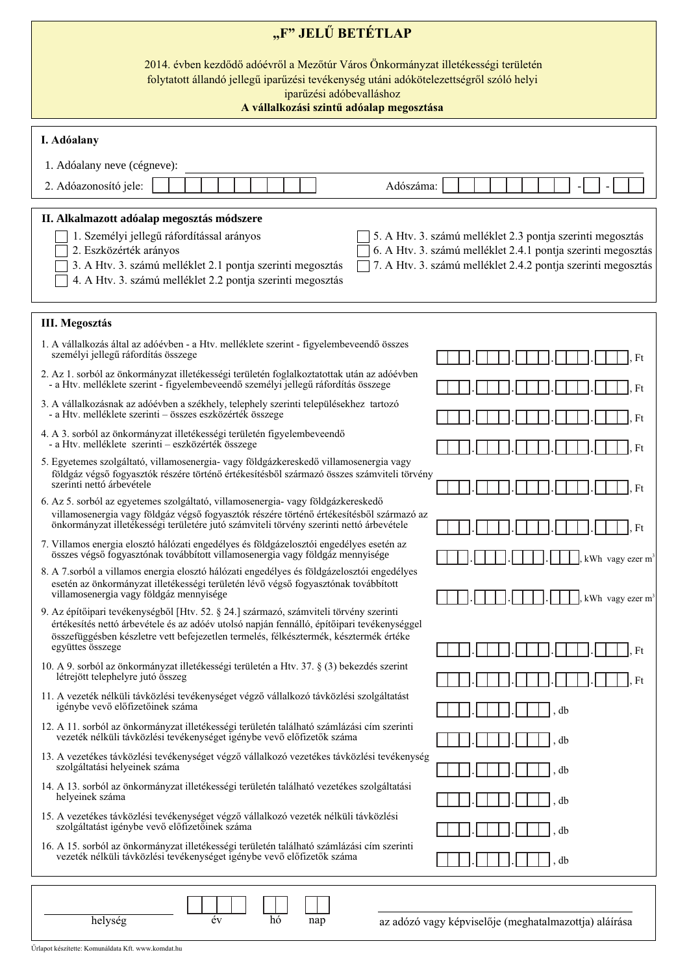| "F" JELŰ BETÉTLAP                                                                                                                                                                                                                                                                                                                                                                                                                           |                                                       |  |  |  |  |  |  |  |  |
|---------------------------------------------------------------------------------------------------------------------------------------------------------------------------------------------------------------------------------------------------------------------------------------------------------------------------------------------------------------------------------------------------------------------------------------------|-------------------------------------------------------|--|--|--|--|--|--|--|--|
| 2014. évben kezdődő adóévről a Mezőtúr Város Önkormányzat illetékességi területén<br>folytatott állandó jellegű iparűzési tevékenység utáni adókötelezettségről szóló helyi<br>iparűzési adóbevalláshoz<br>A vállalkozási szintű adóalap megosztása                                                                                                                                                                                         |                                                       |  |  |  |  |  |  |  |  |
| I. Adóalany                                                                                                                                                                                                                                                                                                                                                                                                                                 |                                                       |  |  |  |  |  |  |  |  |
| 1. Adóalany neve (cégneve):                                                                                                                                                                                                                                                                                                                                                                                                                 |                                                       |  |  |  |  |  |  |  |  |
| 2. Adóazonosító jele:<br>Adószáma:                                                                                                                                                                                                                                                                                                                                                                                                          |                                                       |  |  |  |  |  |  |  |  |
| II. Alkalmazott adóalap megosztás módszere<br>1. Személyi jellegű ráfordítással arányos<br>5. A Htv. 3. számú melléklet 2.3 pontja szerinti megosztás<br>6. A Htv. 3. számú melléklet 2.4.1 pontja szerinti megosztás<br>2. Eszközérték arányos<br>3. A Htv. 3. számú melléklet 2.1 pontja szerinti megosztás<br>7. A Htv. 3. számú melléklet 2.4.2 pontja szerinti megosztás<br>4. A Htv. 3. számú melléklet 2.2 pontja szerinti megosztás |                                                       |  |  |  |  |  |  |  |  |
| <b>III. Megosztás</b>                                                                                                                                                                                                                                                                                                                                                                                                                       |                                                       |  |  |  |  |  |  |  |  |
| 1. A vállalkozás által az adóévben - a Htv. melléklete szerint - figyelembeveendő összes<br>személyi jellegű ráfordítás összege                                                                                                                                                                                                                                                                                                             | Ft                                                    |  |  |  |  |  |  |  |  |
| 2. Az 1. sorból az önkormányzat illetékességi területén foglalkoztatottak után az adóévben<br>- a Htv. melléklete szerint - figyelembeveendő személyi jellegű ráfordítás összege                                                                                                                                                                                                                                                            | Ft                                                    |  |  |  |  |  |  |  |  |
| 3. A vállalkozásnak az adóévben a székhely, telephely szerinti településekhez tartozó<br>- a Htv. melléklete szerinti – összes eszközérték összege                                                                                                                                                                                                                                                                                          | Ft                                                    |  |  |  |  |  |  |  |  |
| 4. A 3. sorból az önkormányzat illetékességi területén figyelembeveendő<br>- a Htv. melléklete szerinti – eszközérték összege                                                                                                                                                                                                                                                                                                               | Ft                                                    |  |  |  |  |  |  |  |  |
| 5. Egyetemes szolgáltató, villamosenergia- vagy földgázkereskedő villamosenergia vagy<br>földgáz végső fogyasztók részére történő értékesítésből származó összes számviteli törvény<br>szerinti nettó árbevétele                                                                                                                                                                                                                            | Ft                                                    |  |  |  |  |  |  |  |  |
| 6. Az 5. sorból az egyetemes szolgáltató, villamosenergia- vagy földgázkereskedő<br>villamosenergia vagy földgáz végső fogyasztók részére történő értékesítésből származó az<br>önkormányzat illetékességi területére jutó számviteli törvény szerinti nettó árbevétele                                                                                                                                                                     | Ft                                                    |  |  |  |  |  |  |  |  |
| 7. Villamos energia elosztó hálózati engedélyes és földgázelosztói engedélyes esetén az<br>összes végső fogyasztónak továbbított villamosenergia vagy földgáz mennyisége                                                                                                                                                                                                                                                                    | kWh vagy ezer m <sup>3</sup>                          |  |  |  |  |  |  |  |  |
| 8. A 7.sorból a villamos energia elosztó hálózati engedélyes és földgázelosztói engedélyes<br>esetén az önkormányzat illetékességi területén lévő végső fogyasztónak továbbított<br>villamosenergia vagy földgáz mennyisége                                                                                                                                                                                                                 | kWh vagy ezer $m3$                                    |  |  |  |  |  |  |  |  |
| 9. Az építőipari tevékenységből [Htv. 52. § 24.] származó, számviteli törvény szerinti<br>értékesítés nettó árbevétele és az adóév utolsó napján fennálló, építőipari tevékenységgel<br>összefüggésben készletre vett befejezetlen termelés, félkésztermék, késztermék értéke<br>együttes összege                                                                                                                                           | Ft                                                    |  |  |  |  |  |  |  |  |
| 10. A 9. sorból az önkormányzat illetékességi területén a Htv. 37. § (3) bekezdés szerint<br>létrejött telephelyre jutó összeg                                                                                                                                                                                                                                                                                                              | Ft                                                    |  |  |  |  |  |  |  |  |
| 11. A vezeték nélküli távközlési tevékenységet végző vállalkozó távközlési szolgáltatást<br>igénybe vevő előfizetőinek száma                                                                                                                                                                                                                                                                                                                | db                                                    |  |  |  |  |  |  |  |  |
| 12. A 11. sorból az önkormányzat illetékességi területén található számlázási cím szerinti<br>vezeték nélküli távközlési tevékenységet igénybe vevő előfizetők száma                                                                                                                                                                                                                                                                        |                                                       |  |  |  |  |  |  |  |  |
| 13. A vezetékes távközlési tevékenységet végző vállalkozó vezetékes távközlési tevékenység<br>szolgáltatási helyeinek száma                                                                                                                                                                                                                                                                                                                 | db<br>db                                              |  |  |  |  |  |  |  |  |
| 14. A 13. sorból az önkormányzat illetékességi területén található vezetékes szolgáltatási<br>helyeinek száma                                                                                                                                                                                                                                                                                                                               | db                                                    |  |  |  |  |  |  |  |  |
| 15. A vezetékes távközlési tevékenységet végző vállalkozó vezeték nélküli távközlési<br>szolgáltatást igénybe vevő előfizetőinek száma                                                                                                                                                                                                                                                                                                      | db                                                    |  |  |  |  |  |  |  |  |
| 16. A 15. sorból az önkormányzat illetékességi területén található számlázási cím szerinti<br>vezeték nélküli távközlési tevékenységet igénybe vevő előfizetők száma                                                                                                                                                                                                                                                                        | db                                                    |  |  |  |  |  |  |  |  |
| év<br>helység<br>hó<br>nap                                                                                                                                                                                                                                                                                                                                                                                                                  | az adózó vagy képviselője (meghatalmazottja) aláírása |  |  |  |  |  |  |  |  |

Űrlapot készítette: Komunáldata Kft. www.komdat.hu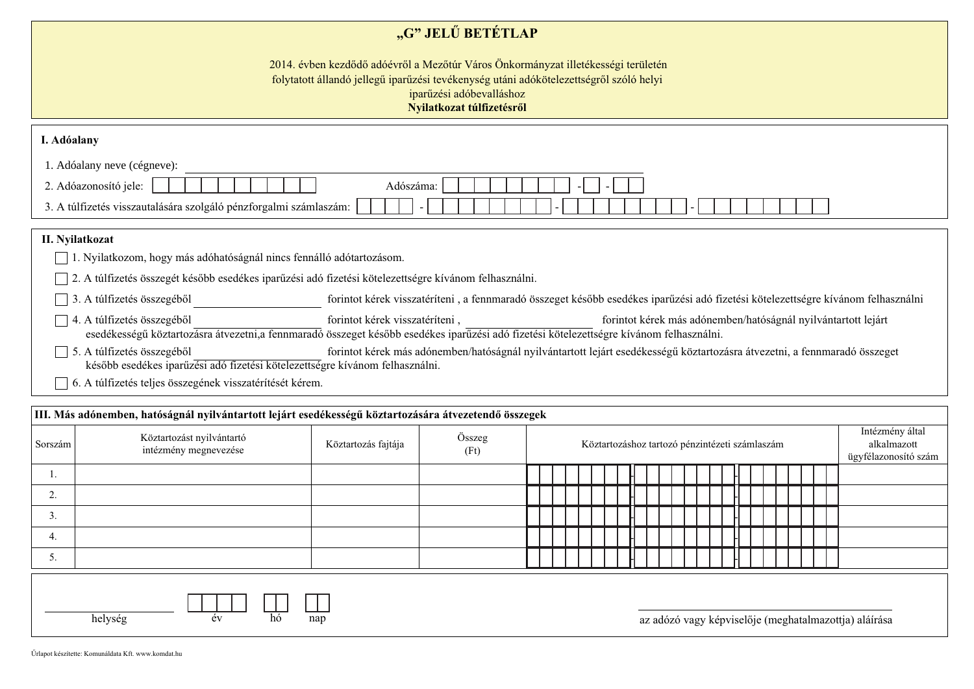## "G" JELŰ BETÉTLAP

2014. évben kezdődő adóévről a Mezőtúr Város Önkormányzat illetékességi területén folytatott állandó jellegű iparűzési tevékenység utáni adókötelezettségről szóló helyi iparűzési adóbevalláshoz Nyilatkozat túlfizetésről

| I. Adóalany                                                                                                                                                                                                                             |                                                                                                                                                                                                                                             |  |  |  |  |  |
|-----------------------------------------------------------------------------------------------------------------------------------------------------------------------------------------------------------------------------------------|---------------------------------------------------------------------------------------------------------------------------------------------------------------------------------------------------------------------------------------------|--|--|--|--|--|
| 1. Adóalany neve (cégneve):                                                                                                                                                                                                             |                                                                                                                                                                                                                                             |  |  |  |  |  |
| 2. Adóazonosító jele:                                                                                                                                                                                                                   | Adószáma:                                                                                                                                                                                                                                   |  |  |  |  |  |
| 3. A túlfizetés visszautalására szolgáló pénzforgalmi számlaszám:                                                                                                                                                                       |                                                                                                                                                                                                                                             |  |  |  |  |  |
|                                                                                                                                                                                                                                         |                                                                                                                                                                                                                                             |  |  |  |  |  |
| II. Nyilatkozat                                                                                                                                                                                                                         |                                                                                                                                                                                                                                             |  |  |  |  |  |
| 1. Nyilatkozom, hogy más adóhatóságnál nincs fennálló adótartozásom.                                                                                                                                                                    |                                                                                                                                                                                                                                             |  |  |  |  |  |
| 2. A túlfizetés összegét később esedékes iparűzési adó fizetési kötelezettségre kívánom felhasználni.                                                                                                                                   |                                                                                                                                                                                                                                             |  |  |  |  |  |
| A túlfizetés összegéből<br>3                                                                                                                                                                                                            | forintot kérek visszatéríteni, a fennmaradó összeget később esedékes iparűzési adó fizetési kötelezettségre kívánom felhasználni                                                                                                            |  |  |  |  |  |
| 4. A túlfizetés összegéből                                                                                                                                                                                                              | forintot kérek visszatéríteni,<br>forintot kérek más adónemben/hatóságnál nyilvántartott lejárt<br>esedékességű köztartozásra átvezetni, a fennmaradó összeget később esedékes iparűzési adó fizetési kötelezettségre kívánom felhasználni. |  |  |  |  |  |
| 5. A túlfizetés összegéből<br>forintot kérek más adónemben/hatóságnál nyilvántartott lejárt esedékességű köztartozásra átvezetni, a fennmaradó összeget<br>később esedékes iparűzési adó fizetési kötelezettségre kívánom felhasználni. |                                                                                                                                                                                                                                             |  |  |  |  |  |
| 6. A túlfizetés teljes összegének visszatérítését kérem.                                                                                                                                                                                |                                                                                                                                                                                                                                             |  |  |  |  |  |

| III. Más adónemben, hatóságnál nyilvántartott lejárt esedékességű köztartozására átvezetendő összegek |                                                    |                     |                |                                                |  |  |  |  |  |  |  |                                                        |  |  |  |  |  |
|-------------------------------------------------------------------------------------------------------|----------------------------------------------------|---------------------|----------------|------------------------------------------------|--|--|--|--|--|--|--|--------------------------------------------------------|--|--|--|--|--|
| Sorszám                                                                                               | Köztartozást nyilvántartó<br>intézmény megnevezése | Köztartozás fajtája | Összeg<br>(Ft) | Köztartozáshoz tartozó pénzintézeti számlaszám |  |  |  |  |  |  |  | Intézmény által<br>alkalmazott<br>ügyfélazonosító szám |  |  |  |  |  |
| .,                                                                                                    |                                                    |                     |                |                                                |  |  |  |  |  |  |  |                                                        |  |  |  |  |  |
| 2.                                                                                                    |                                                    |                     |                |                                                |  |  |  |  |  |  |  |                                                        |  |  |  |  |  |
| 3.                                                                                                    |                                                    |                     |                |                                                |  |  |  |  |  |  |  |                                                        |  |  |  |  |  |
| 4.                                                                                                    |                                                    |                     |                |                                                |  |  |  |  |  |  |  |                                                        |  |  |  |  |  |
| 5.                                                                                                    |                                                    |                     |                |                                                |  |  |  |  |  |  |  |                                                        |  |  |  |  |  |
| helység<br>az adózó vagy képviselője (meghatalmazottja) aláírása<br>hó<br>nap<br>év                   |                                                    |                     |                |                                                |  |  |  |  |  |  |  |                                                        |  |  |  |  |  |